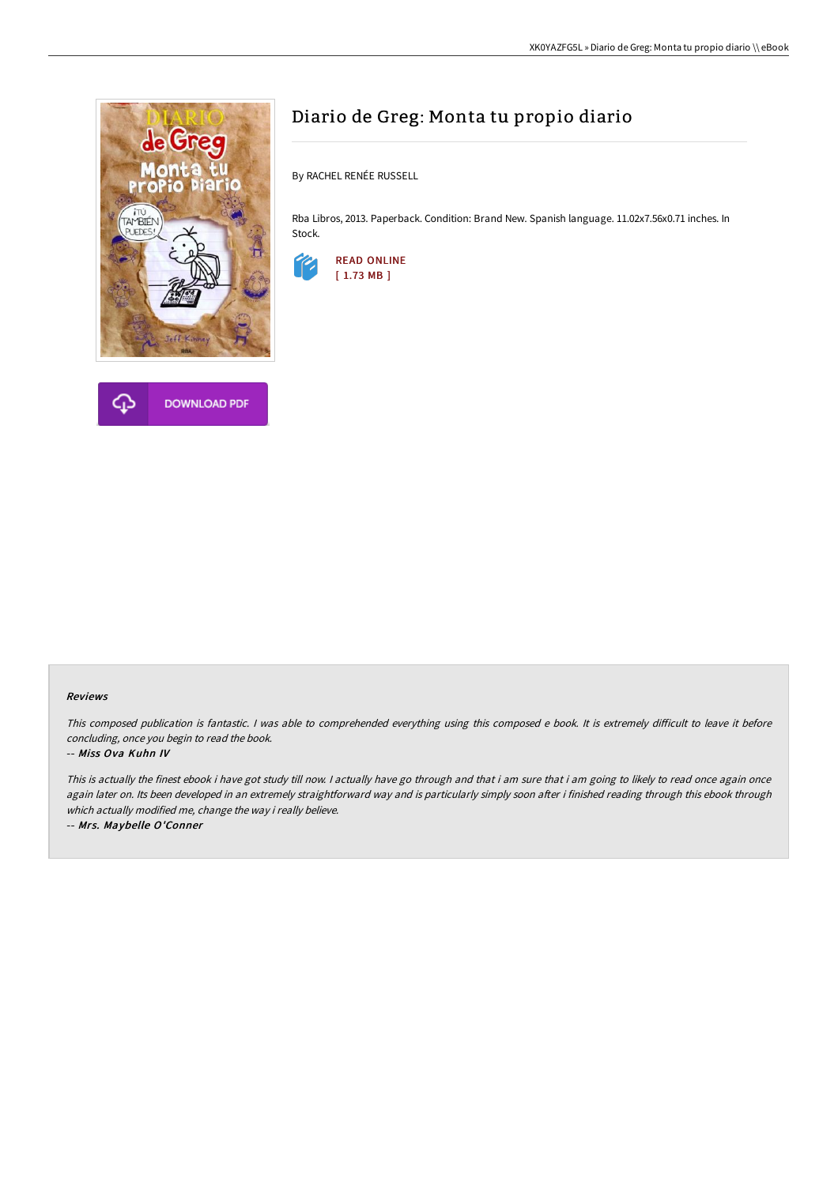



# Diario de Greg: Monta tu propio diario

By RACHEL RENÉE RUSSELL

Rba Libros, 2013. Paperback. Condition: Brand New. Spanish language. 11.02x7.56x0.71 inches. In Stock.



#### Reviews

This composed publication is fantastic. I was able to comprehended everything using this composed e book. It is extremely difficult to leave it before concluding, once you begin to read the book.

#### -- Miss Ova Kuhn IV

This is actually the finest ebook i have got study till now. I actually have go through and that i am sure that i am going to likely to read once again once again later on. Its been developed in an extremely straightforward way and is particularly simply soon after i finished reading through this ebook through which actually modified me, change the way i really believe.

-- Mrs. Maybelle O'Conner